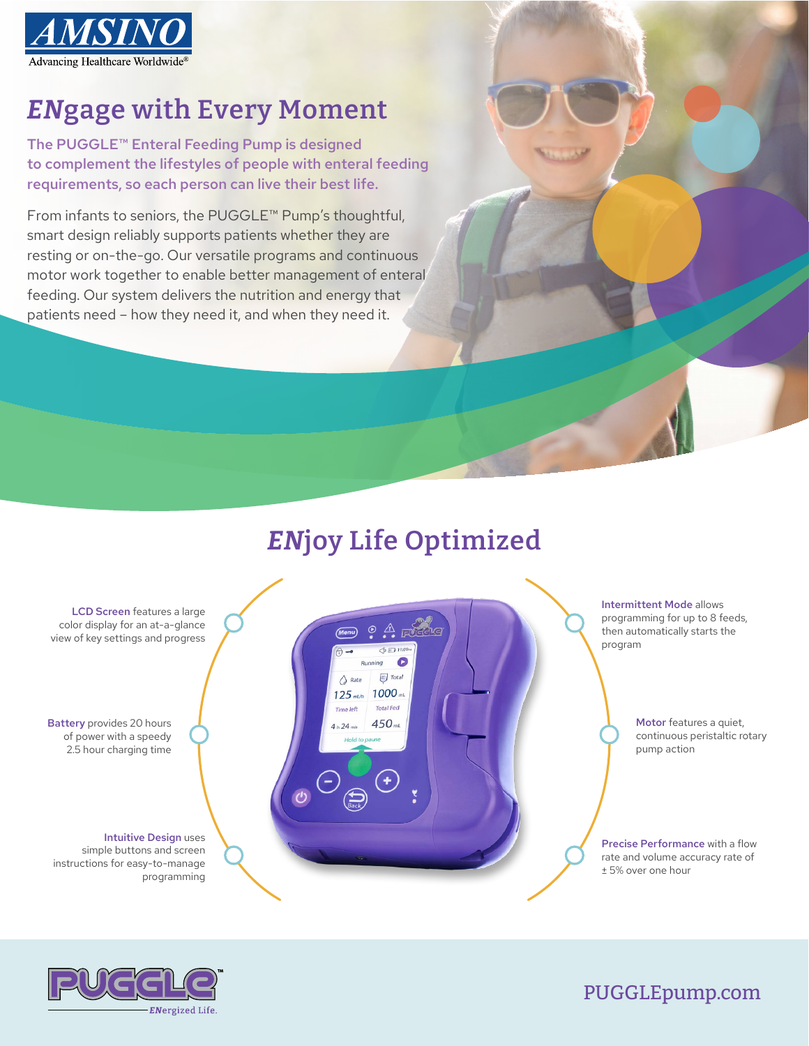

## *EN***gage with Every Moment**

The PUGGLE™ Enteral Feeding Pump is designed to complement the lifestyles of people with enteral feeding requirements, so each person can live their best life.

From infants to seniors, the PUGGLE™ Pump's thoughtful, smart design reliably supports patients whether they are resting or on-the-go. Our versatile programs and continuous motor work together to enable better management of enteral feeding. Our system delivers the nutrition and energy that patients need – how they need it, and when they need it.

## *EN***joy Life Optimized**





PUGGLEpump.com